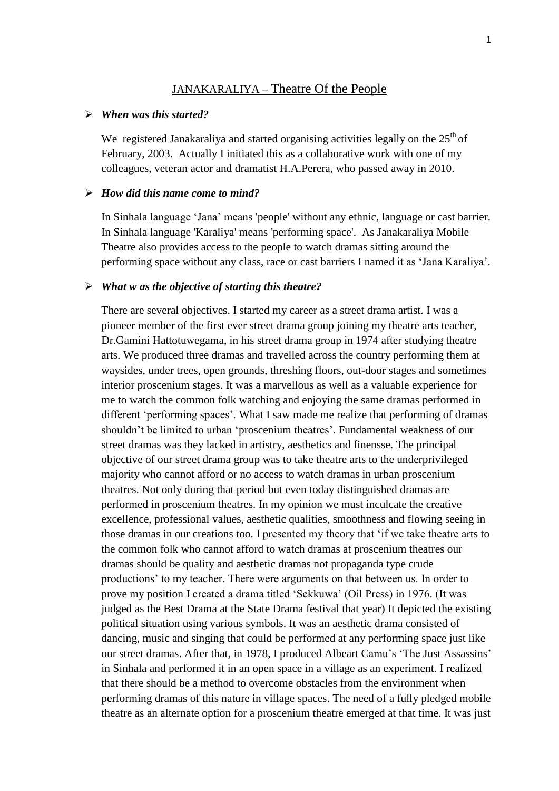### JANAKARALIYA – Theatre Of the People

### *When was this started?*

We registered Janakaraliya and started organising activities legally on the  $25<sup>th</sup>$  of February, 2003. Actually I initiated this as a collaborative work with one of my colleagues, veteran actor and dramatist H.A.Perera, who passed away in 2010.

#### *How did this name come to mind?*

In Sinhala language 'Jana' means 'people' without any ethnic, language or cast barrier. In Sinhala language 'Karaliya' means 'performing space'. As Janakaraliya Mobile Theatre also provides access to the people to watch dramas sitting around the performing space without any class, race or cast barriers I named it as 'Jana Karaliya'.

### *What w as the objective of starting this theatre?*

There are several objectives. I started my career as a street drama artist. I was a pioneer member of the first ever street drama group joining my theatre arts teacher, Dr.Gamini Hattotuwegama, in his street drama group in 1974 after studying theatre arts. We produced three dramas and travelled across the country performing them at waysides, under trees, open grounds, threshing floors, out-door stages and sometimes interior proscenium stages. It was a marvellous as well as a valuable experience for me to watch the common folk watching and enjoying the same dramas performed in different 'performing spaces'. What I saw made me realize that performing of dramas shouldn't be limited to urban 'proscenium theatres'. Fundamental weakness of our street dramas was they lacked in artistry, aesthetics and finensse. The principal objective of our street drama group was to take theatre arts to the underprivileged majority who cannot afford or no access to watch dramas in urban proscenium theatres. Not only during that period but even today distinguished dramas are performed in proscenium theatres. In my opinion we must inculcate the creative excellence, professional values, aesthetic qualities, smoothness and flowing seeing in those dramas in our creations too. I presented my theory that 'if we take theatre arts to the common folk who cannot afford to watch dramas at proscenium theatres our dramas should be quality and aesthetic dramas not propaganda type crude productions' to my teacher. There were arguments on that between us. In order to prove my position I created a drama titled 'Sekkuwa' (Oil Press) in 1976. (It was judged as the Best Drama at the State Drama festival that year) It depicted the existing political situation using various symbols. It was an aesthetic drama consisted of dancing, music and singing that could be performed at any performing space just like our street dramas. After that, in 1978, I produced Albeart Camu's 'The Just Assassins' in Sinhala and performed it in an open space in a village as an experiment. I realized that there should be a method to overcome obstacles from the environment when performing dramas of this nature in village spaces. The need of a fully pledged mobile theatre as an alternate option for a proscenium theatre emerged at that time. It was just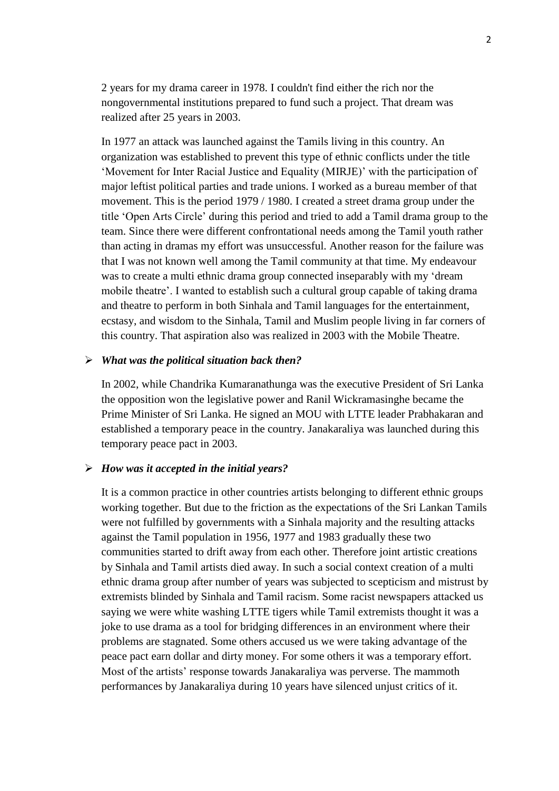2 years for my drama career in 1978. I couldn't find either the rich nor the nongovernmental institutions prepared to fund such a project. That dream was realized after 25 years in 2003.

In 1977 an attack was launched against the Tamils living in this country. An organization was established to prevent this type of ethnic conflicts under the title 'Movement for Inter Racial Justice and Equality (MIRJE)' with the participation of major leftist political parties and trade unions. I worked as a bureau member of that movement. This is the period 1979 / 1980. I created a street drama group under the title 'Open Arts Circle' during this period and tried to add a Tamil drama group to the team. Since there were different confrontational needs among the Tamil youth rather than acting in dramas my effort was unsuccessful. Another reason for the failure was that I was not known well among the Tamil community at that time. My endeavour was to create a multi ethnic drama group connected inseparably with my 'dream mobile theatre'. I wanted to establish such a cultural group capable of taking drama and theatre to perform in both Sinhala and Tamil languages for the entertainment, ecstasy, and wisdom to the Sinhala, Tamil and Muslim people living in far corners of this country. That aspiration also was realized in 2003 with the Mobile Theatre.

#### *What was the political situation back then?*

In 2002, while Chandrika Kumaranathunga was the executive President of Sri Lanka the opposition won the legislative power and Ranil Wickramasinghe became the Prime Minister of Sri Lanka. He signed an MOU with LTTE leader Prabhakaran and established a temporary peace in the country. Janakaraliya was launched during this temporary peace pact in 2003.

#### *How was it accepted in the initial years?*

It is a common practice in other countries artists belonging to different ethnic groups working together. But due to the friction as the expectations of the Sri Lankan Tamils were not fulfilled by governments with a Sinhala majority and the resulting attacks against the Tamil population in 1956, 1977 and 1983 gradually these two communities started to drift away from each other. Therefore joint artistic creations by Sinhala and Tamil artists died away. In such a social context creation of a multi ethnic drama group after number of years was subjected to scepticism and mistrust by extremists blinded by Sinhala and Tamil racism. Some racist newspapers attacked us saying we were white washing LTTE tigers while Tamil extremists thought it was a joke to use drama as a tool for bridging differences in an environment where their problems are stagnated. Some others accused us we were taking advantage of the peace pact earn dollar and dirty money. For some others it was a temporary effort. Most of the artists' response towards Janakaraliya was perverse. The mammoth performances by Janakaraliya during 10 years have silenced unjust critics of it.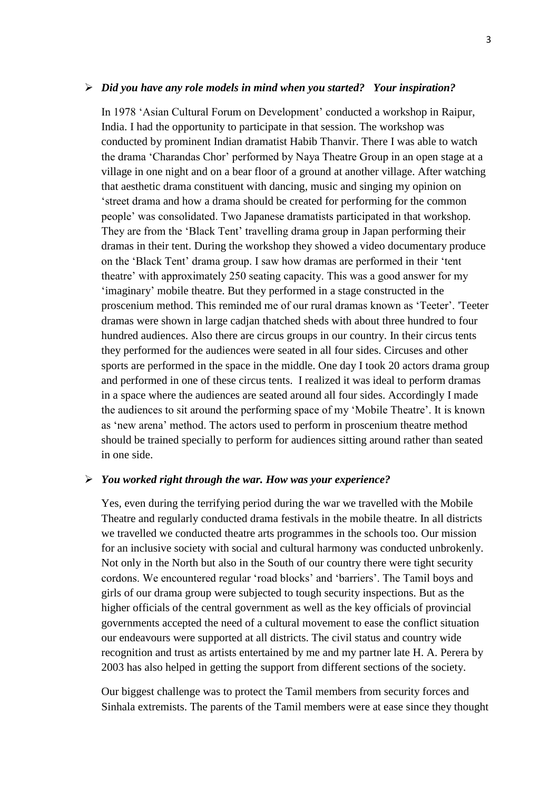#### *Did you have any role models in mind when you started? Your inspiration?*

In 1978 'Asian Cultural Forum on Development' conducted a workshop in Raipur, India. I had the opportunity to participate in that session. The workshop was conducted by prominent Indian dramatist Habib Thanvir. There I was able to watch the drama 'Charandas Chor' performed by Naya Theatre Group in an open stage at a village in one night and on a bear floor of a ground at another village. After watching that aesthetic drama constituent with dancing, music and singing my opinion on 'street drama and how a drama should be created for performing for the common people' was consolidated. Two Japanese dramatists participated in that workshop. They are from the 'Black Tent' travelling drama group in Japan performing their dramas in their tent. During the workshop they showed a video documentary produce on the 'Black Tent' drama group. I saw how dramas are performed in their 'tent theatre' with approximately 250 seating capacity. This was a good answer for my 'imaginary' mobile theatre. But they performed in a stage constructed in the proscenium method. This reminded me of our rural dramas known as 'Teeter'. 'Teeter dramas were shown in large cadjan thatched sheds with about three hundred to four hundred audiences. Also there are circus groups in our country. In their circus tents they performed for the audiences were seated in all four sides. Circuses and other sports are performed in the space in the middle. One day I took 20 actors drama group and performed in one of these circus tents. I realized it was ideal to perform dramas in a space where the audiences are seated around all four sides. Accordingly I made the audiences to sit around the performing space of my 'Mobile Theatre'. It is known as 'new arena' method. The actors used to perform in proscenium theatre method should be trained specially to perform for audiences sitting around rather than seated in one side.

#### *You worked right through the war. How was your experience?*

Yes, even during the terrifying period during the war we travelled with the Mobile Theatre and regularly conducted drama festivals in the mobile theatre. In all districts we travelled we conducted theatre arts programmes in the schools too. Our mission for an inclusive society with social and cultural harmony was conducted unbrokenly. Not only in the North but also in the South of our country there were tight security cordons. We encountered regular 'road blocks' and 'barriers'. The Tamil boys and girls of our drama group were subjected to tough security inspections. But as the higher officials of the central government as well as the key officials of provincial governments accepted the need of a cultural movement to ease the conflict situation our endeavours were supported at all districts. The civil status and country wide recognition and trust as artists entertained by me and my partner late H. A. Perera by 2003 has also helped in getting the support from different sections of the society.

Our biggest challenge was to protect the Tamil members from security forces and Sinhala extremists. The parents of the Tamil members were at ease since they thought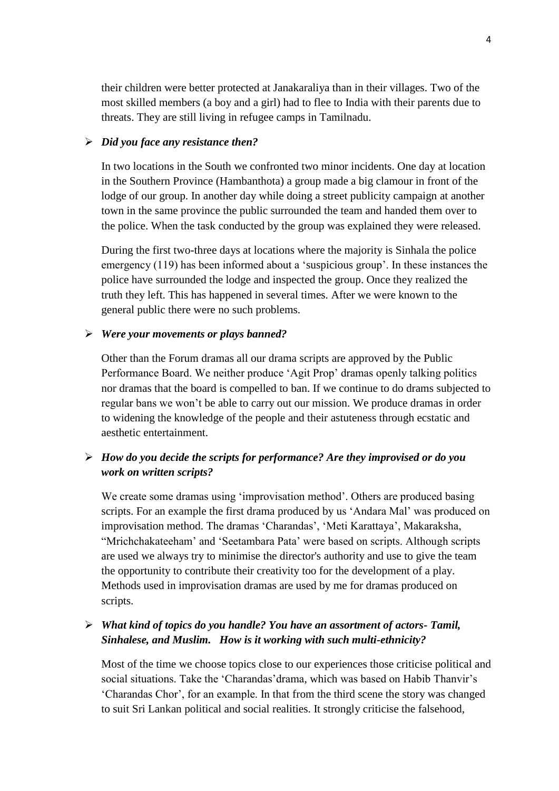their children were better protected at Janakaraliya than in their villages. Two of the most skilled members (a boy and a girl) had to flee to India with their parents due to threats. They are still living in refugee camps in Tamilnadu.

### *Did you face any resistance then?*

In two locations in the South we confronted two minor incidents. One day at location in the Southern Province (Hambanthota) a group made a big clamour in front of the lodge of our group. In another day while doing a street publicity campaign at another town in the same province the public surrounded the team and handed them over to the police. When the task conducted by the group was explained they were released.

During the first two-three days at locations where the majority is Sinhala the police emergency (119) has been informed about a 'suspicious group'. In these instances the police have surrounded the lodge and inspected the group. Once they realized the truth they left. This has happened in several times. After we were known to the general public there were no such problems.

#### *Were your movements or plays banned?*

Other than the Forum dramas all our drama scripts are approved by the Public Performance Board. We neither produce 'Agit Prop' dramas openly talking politics nor dramas that the board is compelled to ban. If we continue to do drams subjected to regular bans we won't be able to carry out our mission. We produce dramas in order to widening the knowledge of the people and their astuteness through ecstatic and aesthetic entertainment.

# *How do you decide the scripts for performance? Are they improvised or do you work on written scripts?*

We create some dramas using 'improvisation method'. Others are produced basing scripts. For an example the first drama produced by us 'Andara Mal' was produced on improvisation method. The dramas 'Charandas', 'Meti Karattaya', Makaraksha, "Mrichchakateeham' and 'Seetambara Pata' were based on scripts. Although scripts are used we always try to minimise the director's authority and use to give the team the opportunity to contribute their creativity too for the development of a play. Methods used in improvisation dramas are used by me for dramas produced on scripts.

## *What kind of topics do you handle? You have an assortment of actors- Tamil, Sinhalese, and Muslim. How is it working with such multi-ethnicity?*

Most of the time we choose topics close to our experiences those criticise political and social situations. Take the 'Charandas'drama, which was based on Habib Thanvir's 'Charandas Chor', for an example. In that from the third scene the story was changed to suit Sri Lankan political and social realities. It strongly criticise the falsehood,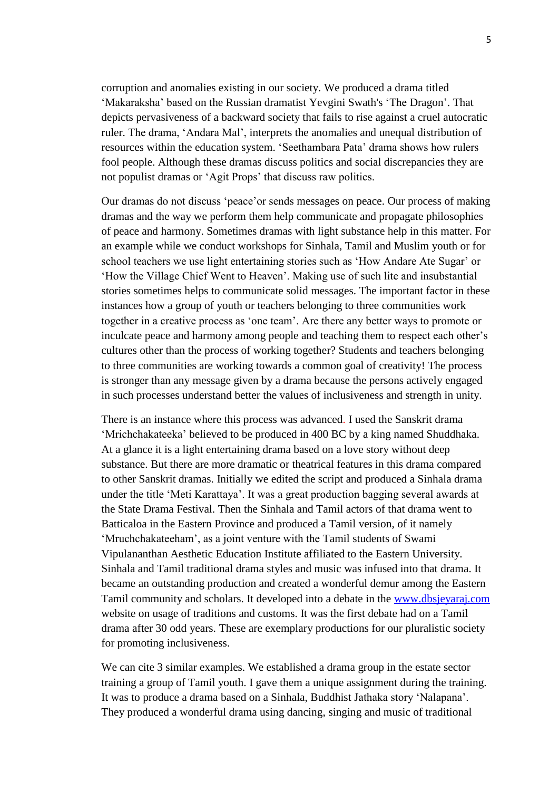corruption and anomalies existing in our society. We produced a drama titled 'Makaraksha' based on the Russian dramatist Yevgini Swath's 'The Dragon'. That depicts pervasiveness of a backward society that fails to rise against a cruel autocratic ruler. The drama, 'Andara Mal', interprets the anomalies and unequal distribution of resources within the education system. 'Seethambara Pata' drama shows how rulers fool people. Although these dramas discuss politics and social discrepancies they are not populist dramas or 'Agit Props' that discuss raw politics.

Our dramas do not discuss 'peace'or sends messages on peace. Our process of making dramas and the way we perform them help communicate and propagate philosophies of peace and harmony. Sometimes dramas with light substance help in this matter. For an example while we conduct workshops for Sinhala, Tamil and Muslim youth or for school teachers we use light entertaining stories such as 'How Andare Ate Sugar' or 'How the Village Chief Went to Heaven'. Making use of such lite and insubstantial stories sometimes helps to communicate solid messages. The important factor in these instances how a group of youth or teachers belonging to three communities work together in a creative process as 'one team'. Are there any better ways to promote or inculcate peace and harmony among people and teaching them to respect each other's cultures other than the process of working together? Students and teachers belonging to three communities are working towards a common goal of creativity! The process is stronger than any message given by a drama because the persons actively engaged in such processes understand better the values of inclusiveness and strength in unity.

There is an instance where this process was advanced. I used the Sanskrit drama 'Mrichchakateeka' believed to be produced in 400 BC by a king named Shuddhaka. At a glance it is a light entertaining drama based on a love story without deep substance. But there are more dramatic or theatrical features in this drama compared to other Sanskrit dramas. Initially we edited the script and produced a Sinhala drama under the title 'Meti Karattaya'. It was a great production bagging several awards at the State Drama Festival. Then the Sinhala and Tamil actors of that drama went to Batticaloa in the Eastern Province and produced a Tamil version, of it namely 'Mruchchakateeham', as a joint venture with the Tamil students of Swami Vipulananthan Aesthetic Education Institute affiliated to the Eastern University. Sinhala and Tamil traditional drama styles and music was infused into that drama. It became an outstanding production and created a wonderful demur among the Eastern Tamil community and scholars. It developed into a debate in the [www.dbsjeyaraj.com](http://www.dbsjeyaraj.com/) website on usage of traditions and customs. It was the first debate had on a Tamil drama after 30 odd years. These are exemplary productions for our pluralistic society for promoting inclusiveness.

We can cite 3 similar examples. We established a drama group in the estate sector training a group of Tamil youth. I gave them a unique assignment during the training. It was to produce a drama based on a Sinhala, Buddhist Jathaka story 'Nalapana'. They produced a wonderful drama using dancing, singing and music of traditional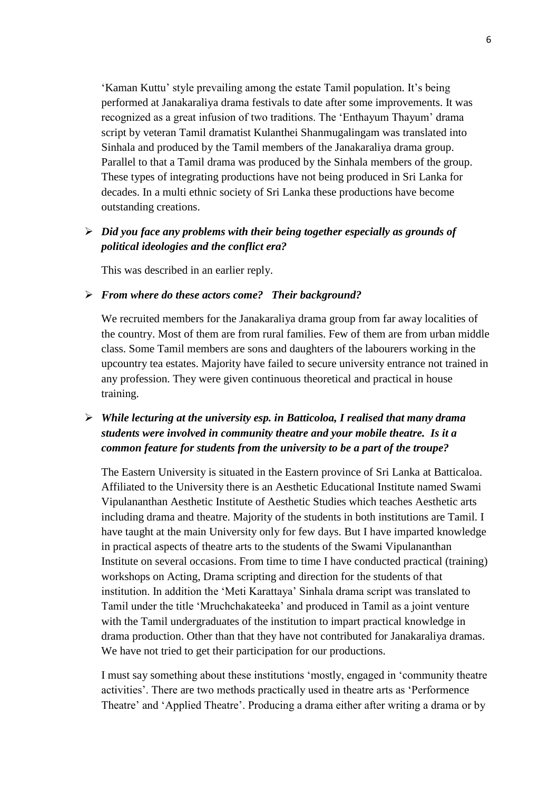'Kaman Kuttu' style prevailing among the estate Tamil population. It's being performed at Janakaraliya drama festivals to date after some improvements. It was recognized as a great infusion of two traditions. The 'Enthayum Thayum' drama script by veteran Tamil dramatist Kulanthei Shanmugalingam was translated into Sinhala and produced by the Tamil members of the Janakaraliya drama group. Parallel to that a Tamil drama was produced by the Sinhala members of the group. These types of integrating productions have not being produced in Sri Lanka for decades. In a multi ethnic society of Sri Lanka these productions have become outstanding creations.

## *Did you face any problems with their being together especially as grounds of political ideologies and the conflict era?*

This was described in an earlier reply.

#### *From where do these actors come? Their background?*

We recruited members for the Janakaraliya drama group from far away localities of the country. Most of them are from rural families. Few of them are from urban middle class. Some Tamil members are sons and daughters of the labourers working in the upcountry tea estates. Majority have failed to secure university entrance not trained in any profession. They were given continuous theoretical and practical in house training.

# *While lecturing at the university esp. in Batticoloa, I realised that many drama students were involved in community theatre and your mobile theatre. Is it a common feature for students from the university to be a part of the troupe?*

The Eastern University is situated in the Eastern province of Sri Lanka at Batticaloa. Affiliated to the University there is an Aesthetic Educational Institute named Swami Vipulananthan Aesthetic Institute of Aesthetic Studies which teaches Aesthetic arts including drama and theatre. Majority of the students in both institutions are Tamil. I have taught at the main University only for few days. But I have imparted knowledge in practical aspects of theatre arts to the students of the Swami Vipulananthan Institute on several occasions. From time to time I have conducted practical (training) workshops on Acting, Drama scripting and direction for the students of that institution. In addition the 'Meti Karattaya' Sinhala drama script was translated to Tamil under the title 'Mruchchakateeka' and produced in Tamil as a joint venture with the Tamil undergraduates of the institution to impart practical knowledge in drama production. Other than that they have not contributed for Janakaraliya dramas. We have not tried to get their participation for our productions.

I must say something about these institutions 'mostly, engaged in 'community theatre activities'. There are two methods practically used in theatre arts as 'Performence Theatre' and 'Applied Theatre'. Producing a drama either after writing a drama or by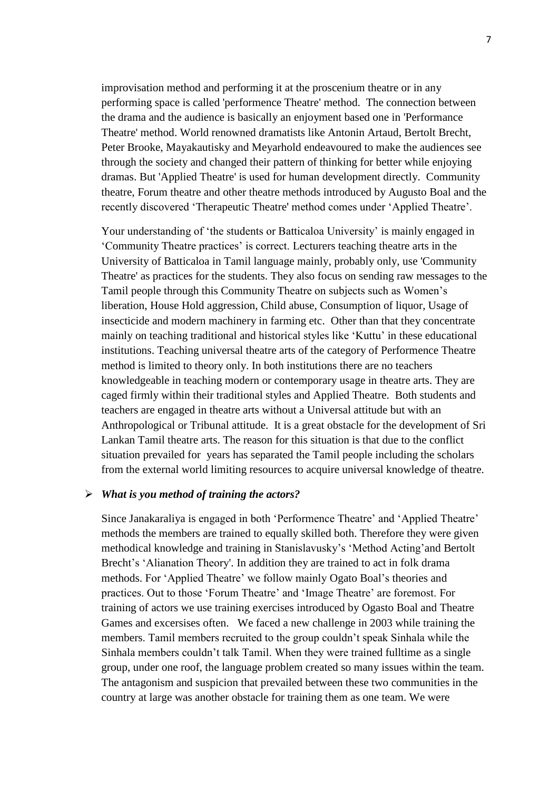improvisation method and performing it at the proscenium theatre or in any performing space is called 'performence Theatre' method. The connection between the drama and the audience is basically an enjoyment based one in 'Performance Theatre' method. World renowned dramatists like Antonin Artaud, Bertolt Brecht, Peter Brooke, Mayakautisky and Meyarhold endeavoured to make the audiences see through the society and changed their pattern of thinking for better while enjoying dramas. But 'Applied Theatre' is used for human development directly. Community theatre, Forum theatre and other theatre methods introduced by Augusto Boal and the recently discovered 'Therapeutic Theatre' method comes under 'Applied Theatre'.

Your understanding of 'the students or Batticaloa University' is mainly engaged in 'Community Theatre practices' is correct. Lecturers teaching theatre arts in the University of Batticaloa in Tamil language mainly, probably only, use 'Community Theatre' as practices for the students. They also focus on sending raw messages to the Tamil people through this Community Theatre on subjects such as Women's liberation, House Hold aggression, Child abuse, Consumption of liquor, Usage of insecticide and modern machinery in farming etc. Other than that they concentrate mainly on teaching traditional and historical styles like 'Kuttu' in these educational institutions. Teaching universal theatre arts of the category of Performence Theatre method is limited to theory only. In both institutions there are no teachers knowledgeable in teaching modern or contemporary usage in theatre arts. They are caged firmly within their traditional styles and Applied Theatre. Both students and teachers are engaged in theatre arts without a Universal attitude but with an Anthropological or Tribunal attitude. It is a great obstacle for the development of Sri Lankan Tamil theatre arts. The reason for this situation is that due to the conflict situation prevailed for years has separated the Tamil people including the scholars from the external world limiting resources to acquire universal knowledge of theatre.

#### *What is you method of training the actors?*

Since Janakaraliya is engaged in both 'Performence Theatre' and 'Applied Theatre' methods the members are trained to equally skilled both. Therefore they were given methodical knowledge and training in Stanislavusky's 'Method Acting'and Bertolt Brecht's 'Alianation Theory'. In addition they are trained to act in folk drama methods. For 'Applied Theatre' we follow mainly Ogato Boal's theories and practices. Out to those 'Forum Theatre' and 'Image Theatre' are foremost. For training of actors we use training exercises introduced by Ogasto Boal and Theatre Games and excersises often. We faced a new challenge in 2003 while training the members. Tamil members recruited to the group couldn't speak Sinhala while the Sinhala members couldn't talk Tamil. When they were trained fulltime as a single group, under one roof, the language problem created so many issues within the team. The antagonism and suspicion that prevailed between these two communities in the country at large was another obstacle for training them as one team. We were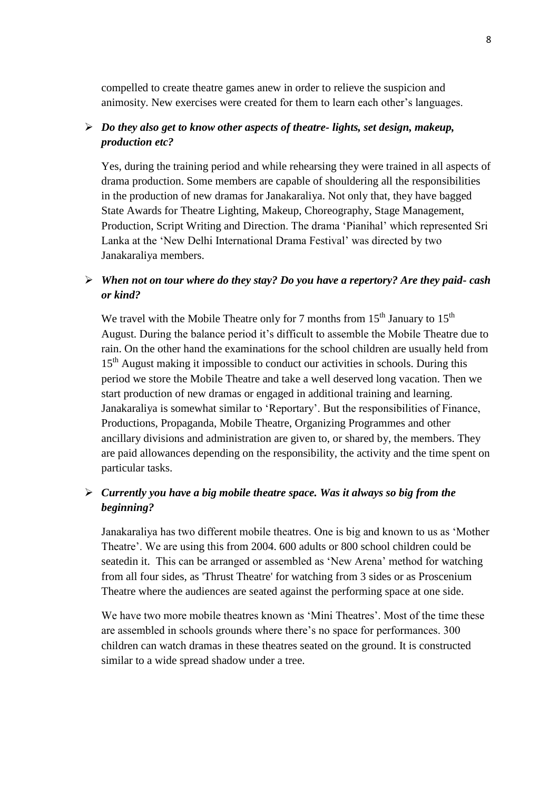compelled to create theatre games anew in order to relieve the suspicion and animosity. New exercises were created for them to learn each other's languages.

## *Do they also get to know other aspects of theatre- lights, set design, makeup, production etc?*

Yes, during the training period and while rehearsing they were trained in all aspects of drama production. Some members are capable of shouldering all the responsibilities in the production of new dramas for Janakaraliya. Not only that, they have bagged State Awards for Theatre Lighting, Makeup, Choreography, Stage Management, Production, Script Writing and Direction. The drama 'Pianihal' which represented Sri Lanka at the 'New Delhi International Drama Festival' was directed by two Janakaraliya members.

## *When not on tour where do they stay? Do you have a repertory? Are they paid- cash or kind?*

We travel with the Mobile Theatre only for 7 months from  $15<sup>th</sup>$  January to  $15<sup>th</sup>$ August. During the balance period it's difficult to assemble the Mobile Theatre due to rain. On the other hand the examinations for the school children are usually held from 15<sup>th</sup> August making it impossible to conduct our activities in schools. During this period we store the Mobile Theatre and take a well deserved long vacation. Then we start production of new dramas or engaged in additional training and learning. Janakaraliya is somewhat similar to 'Reportary'. But the responsibilities of Finance, Productions, Propaganda, Mobile Theatre, Organizing Programmes and other ancillary divisions and administration are given to, or shared by, the members. They are paid allowances depending on the responsibility, the activity and the time spent on particular tasks.

## *Currently you have a big mobile theatre space. Was it always so big from the beginning?*

Janakaraliya has two different mobile theatres. One is big and known to us as 'Mother Theatre'. We are using this from 2004. 600 adults or 800 school children could be seatedin it. This can be arranged or assembled as 'New Arena' method for watching from all four sides, as 'Thrust Theatre' for watching from 3 sides or as Proscenium Theatre where the audiences are seated against the performing space at one side.

We have two more mobile theatres known as 'Mini Theatres'. Most of the time these are assembled in schools grounds where there's no space for performances. 300 children can watch dramas in these theatres seated on the ground. It is constructed similar to a wide spread shadow under a tree.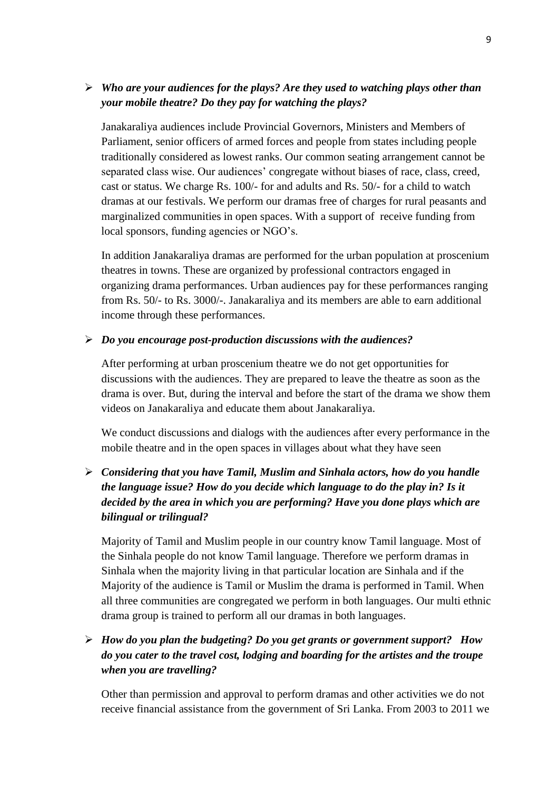# *Who are your audiences for the plays? Are they used to watching plays other than your mobile theatre? Do they pay for watching the plays?*

Janakaraliya audiences include Provincial Governors, Ministers and Members of Parliament, senior officers of armed forces and people from states including people traditionally considered as lowest ranks. Our common seating arrangement cannot be separated class wise. Our audiences' congregate without biases of race, class, creed, cast or status. We charge Rs. 100/- for and adults and Rs. 50/- for a child to watch dramas at our festivals. We perform our dramas free of charges for rural peasants and marginalized communities in open spaces. With a support of receive funding from local sponsors, funding agencies or NGO's.

In addition Janakaraliya dramas are performed for the urban population at proscenium theatres in towns. These are organized by professional contractors engaged in organizing drama performances. Urban audiences pay for these performances ranging from Rs. 50/- to Rs. 3000/-. Janakaraliya and its members are able to earn additional income through these performances.

### *Do you encourage post-production discussions with the audiences?*

After performing at urban proscenium theatre we do not get opportunities for discussions with the audiences. They are prepared to leave the theatre as soon as the drama is over. But, during the interval and before the start of the drama we show them videos on Janakaraliya and educate them about Janakaraliya.

We conduct discussions and dialogs with the audiences after every performance in the mobile theatre and in the open spaces in villages about what they have seen

# *Considering that you have Tamil, Muslim and Sinhala actors, how do you handle the language issue? How do you decide which language to do the play in? Is it decided by the area in which you are performing? Have you done plays which are bilingual or trilingual?*

Majority of Tamil and Muslim people in our country know Tamil language. Most of the Sinhala people do not know Tamil language. Therefore we perform dramas in Sinhala when the majority living in that particular location are Sinhala and if the Majority of the audience is Tamil or Muslim the drama is performed in Tamil. When all three communities are congregated we perform in both languages. Our multi ethnic drama group is trained to perform all our dramas in both languages.

# *How do you plan the budgeting? Do you get grants or government support? How do you cater to the travel cost, lodging and boarding for the artistes and the troupe when you are travelling?*

Other than permission and approval to perform dramas and other activities we do not receive financial assistance from the government of Sri Lanka. From 2003 to 2011 we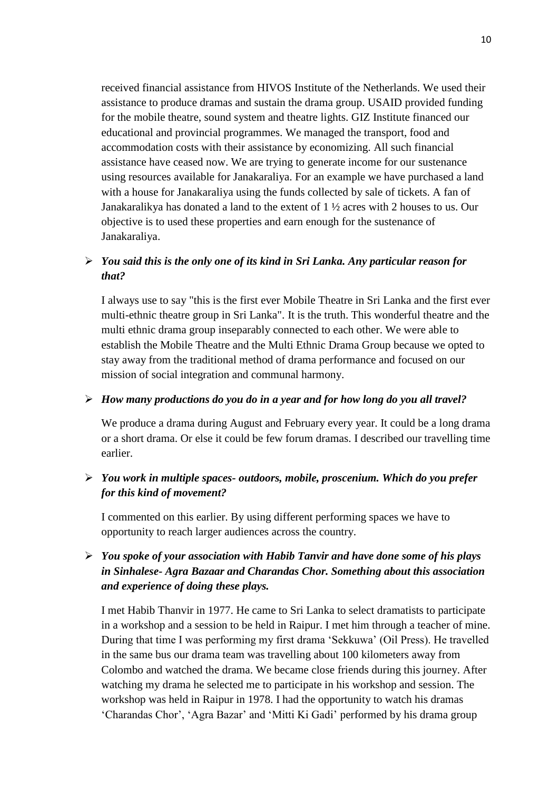received financial assistance from HIVOS Institute of the Netherlands. We used their assistance to produce dramas and sustain the drama group. USAID provided funding for the mobile theatre, sound system and theatre lights. GIZ Institute financed our educational and provincial programmes. We managed the transport, food and accommodation costs with their assistance by economizing. All such financial assistance have ceased now. We are trying to generate income for our sustenance using resources available for Janakaraliya. For an example we have purchased a land with a house for Janakaraliya using the funds collected by sale of tickets. A fan of Janakaralikya has donated a land to the extent of 1 ½ acres with 2 houses to us. Our objective is to used these properties and earn enough for the sustenance of Janakaraliya.

## *You said this is the only one of its kind in Sri Lanka. Any particular reason for that?*

I always use to say "this is the first ever Mobile Theatre in Sri Lanka and the first ever multi-ethnic theatre group in Sri Lanka". It is the truth. This wonderful theatre and the multi ethnic drama group inseparably connected to each other. We were able to establish the Mobile Theatre and the Multi Ethnic Drama Group because we opted to stay away from the traditional method of drama performance and focused on our mission of social integration and communal harmony.

### *How many productions do you do in a year and for how long do you all travel?*

We produce a drama during August and February every year. It could be a long drama or a short drama. Or else it could be few forum dramas. I described our travelling time earlier.

## *You work in multiple spaces- outdoors, mobile, proscenium. Which do you prefer for this kind of movement?*

I commented on this earlier. By using different performing spaces we have to opportunity to reach larger audiences across the country.

# *You spoke of your association with Habib Tanvir and have done some of his plays in Sinhalese- Agra Bazaar and Charandas Chor. Something about this association and experience of doing these plays.*

I met Habib Thanvir in 1977. He came to Sri Lanka to select dramatists to participate in a workshop and a session to be held in Raipur. I met him through a teacher of mine. During that time I was performing my first drama 'Sekkuwa' (Oil Press). He travelled in the same bus our drama team was travelling about 100 kilometers away from Colombo and watched the drama. We became close friends during this journey. After watching my drama he selected me to participate in his workshop and session. The workshop was held in Raipur in 1978. I had the opportunity to watch his dramas 'Charandas Chor', 'Agra Bazar' and 'Mitti Ki Gadi' performed by his drama group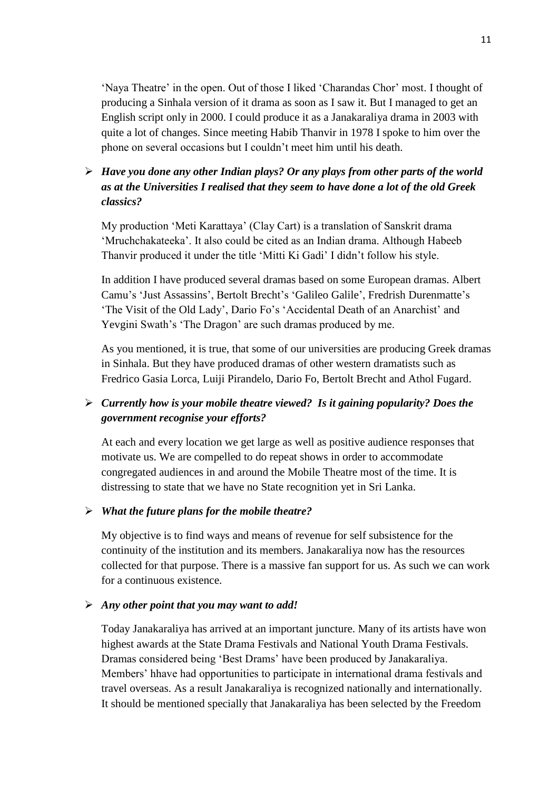'Naya Theatre' in the open. Out of those I liked 'Charandas Chor' most. I thought of producing a Sinhala version of it drama as soon as I saw it. But I managed to get an English script only in 2000. I could produce it as a Janakaraliya drama in 2003 with quite a lot of changes. Since meeting Habib Thanvir in 1978 I spoke to him over the phone on several occasions but I couldn't meet him until his death.

# *Have you done any other Indian plays? Or any plays from other parts of the world as at the Universities I realised that they seem to have done a lot of the old Greek classics?*

My production 'Meti Karattaya' (Clay Cart) is a translation of Sanskrit drama 'Mruchchakateeka'. It also could be cited as an Indian drama. Although Habeeb Thanvir produced it under the title 'Mitti Ki Gadi' I didn't follow his style.

In addition I have produced several dramas based on some European dramas. Albert Camu's 'Just Assassins', Bertolt Brecht's 'Galileo Galile', Fredrish Durenmatte's 'The Visit of the Old Lady', Dario Fo's 'Accidental Death of an Anarchist' and Yevgini Swath's 'The Dragon' are such dramas produced by me.

As you mentioned, it is true, that some of our universities are producing Greek dramas in Sinhala. But they have produced dramas of other western dramatists such as Fredrico Gasia Lorca, Luiji Pirandelo, Dario Fo, Bertolt Brecht and Athol Fugard.

# *Currently how is your mobile theatre viewed? Is it gaining popularity? Does the government recognise your efforts?*

At each and every location we get large as well as positive audience responses that motivate us. We are compelled to do repeat shows in order to accommodate congregated audiences in and around the Mobile Theatre most of the time. It is distressing to state that we have no State recognition yet in Sri Lanka.

### *What the future plans for the mobile theatre?*

My objective is to find ways and means of revenue for self subsistence for the continuity of the institution and its members. Janakaraliya now has the resources collected for that purpose. There is a massive fan support for us. As such we can work for a continuous existence.

### *Any other point that you may want to add!*

Today Janakaraliya has arrived at an important juncture. Many of its artists have won highest awards at the State Drama Festivals and National Youth Drama Festivals. Dramas considered being 'Best Drams' have been produced by Janakaraliya. Members' hhave had opportunities to participate in international drama festivals and travel overseas. As a result Janakaraliya is recognized nationally and internationally. It should be mentioned specially that Janakaraliya has been selected by the Freedom